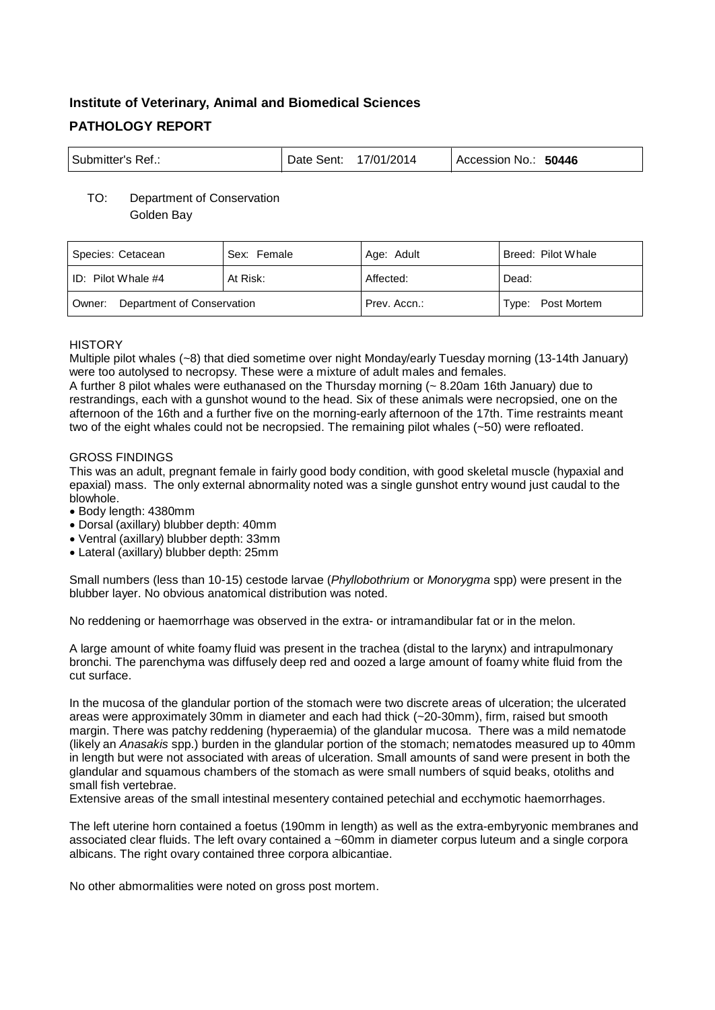# **Institute of Veterinary, Animal and Biomedical Sciences PATHOLOGY REPORT**

| <sup>l</sup> Submitter's Ref.: | Date Sent: | 17/01/2014 | Accession No.: 50446 |
|--------------------------------|------------|------------|----------------------|
|--------------------------------|------------|------------|----------------------|

# TO: Department of Conservation Golden Bay

| Species: Cetacean                    | Sex: Female | Age: Adult   | Breed: Pilot Whale |
|--------------------------------------|-------------|--------------|--------------------|
| ID: Pilot Whale $#4$                 | At Risk:    | Affected:    | Dead:              |
| Department of Conservation<br>Owner: |             | Prev. Accn.: | Type: Post Mortem  |

# **HISTORY**

Multiple pilot whales (~8) that died sometime over night Monday/early Tuesday morning (13-14th January) were too autolysed to necropsy. These were a mixture of adult males and females.

A further 8 pilot whales were euthanased on the Thursday morning (~ 8.20am 16th January) due to restrandings, each with a gunshot wound to the head. Six of these animals were necropsied, one on the afternoon of the 16th and a further five on the morning-early afternoon of the 17th. Time restraints meant two of the eight whales could not be necropsied. The remaining pilot whales (~50) were refloated.

# GROSS FINDINGS

This was an adult, pregnant female in fairly good body condition, with good skeletal muscle (hypaxial and epaxial) mass. The only external abnormality noted was a single gunshot entry wound just caudal to the blowhole.

- Body length: 4380mm
- Dorsal (axillary) blubber depth: 40mm
- Ventral (axillary) blubber depth: 33mm
- Lateral (axillary) blubber depth: 25mm

Small numbers (less than 10-15) cestode larvae (*Phyllobothrium* or *Monorygma* spp) were present in the blubber layer. No obvious anatomical distribution was noted.

No reddening or haemorrhage was observed in the extra- or intramandibular fat or in the melon.

A large amount of white foamy fluid was present in the trachea (distal to the larynx) and intrapulmonary bronchi. The parenchyma was diffusely deep red and oozed a large amount of foamy white fluid from the cut surface.

In the mucosa of the glandular portion of the stomach were two discrete areas of ulceration; the ulcerated areas were approximately 30mm in diameter and each had thick (~20-30mm), firm, raised but smooth margin. There was patchy reddening (hyperaemia) of the glandular mucosa. There was a mild nematode (likely an *Anasakis* spp.) burden in the glandular portion of the stomach; nematodes measured up to 40mm in length but were not associated with areas of ulceration. Small amounts of sand were present in both the glandular and squamous chambers of the stomach as were small numbers of squid beaks, otoliths and small fish vertebrae.

Extensive areas of the small intestinal mesentery contained petechial and ecchymotic haemorrhages.

The left uterine horn contained a foetus (190mm in length) as well as the extra-embyryonic membranes and associated clear fluids. The left ovary contained a ~60mm in diameter corpus luteum and a single corpora albicans. The right ovary contained three corpora albicantiae.

No other abmormalities were noted on gross post mortem.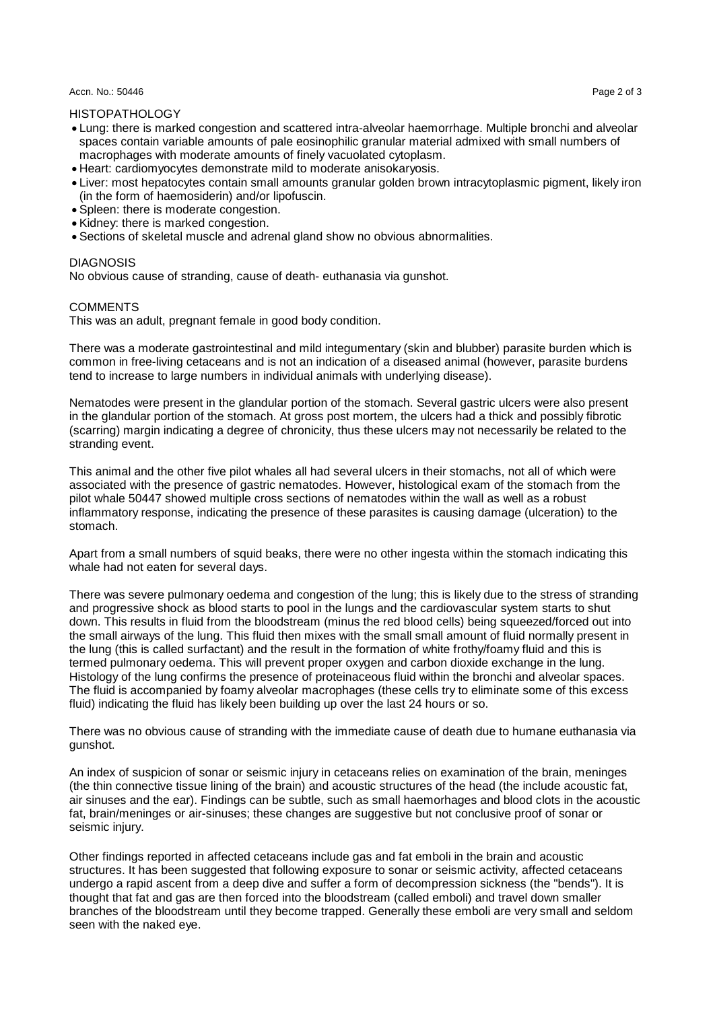#### Accn. No.: 50446 Page 2 of 3 Page 2 of 3 Page 2 of 3 Page 2 of 3 Page 2 of 3 Page 2 of 3

## HISTOPATHOLOGY

- Lung: there is marked congestion and scattered intra-alveolar haemorrhage. Multiple bronchi and alveolar spaces contain variable amounts of pale eosinophilic granular material admixed with small numbers of macrophages with moderate amounts of finely vacuolated cytoplasm.
- Heart: cardiomyocytes demonstrate mild to moderate anisokaryosis.
- Liver: most hepatocytes contain small amounts granular golden brown intracytoplasmic pigment, likely iron (in the form of haemosiderin) and/or lipofuscin.
- Spleen: there is moderate congestion.
- Kidney: there is marked congestion.
- Sections of skeletal muscle and adrenal gland show no obvious abnormalities.

## DIAGNOSIS

No obvious cause of stranding, cause of death- euthanasia via gunshot.

## **COMMENTS**

This was an adult, pregnant female in good body condition.

There was a moderate gastrointestinal and mild integumentary (skin and blubber) parasite burden which is common in free-living cetaceans and is not an indication of a diseased animal (however, parasite burdens tend to increase to large numbers in individual animals with underlying disease).

Nematodes were present in the glandular portion of the stomach. Several gastric ulcers were also present in the glandular portion of the stomach. At gross post mortem, the ulcers had a thick and possibly fibrotic (scarring) margin indicating a degree of chronicity, thus these ulcers may not necessarily be related to the stranding event.

This animal and the other five pilot whales all had several ulcers in their stomachs, not all of which were associated with the presence of gastric nematodes. However, histological exam of the stomach from the pilot whale 50447 showed multiple cross sections of nematodes within the wall as well as a robust inflammatory response, indicating the presence of these parasites is causing damage (ulceration) to the stomach.

Apart from a small numbers of squid beaks, there were no other ingesta within the stomach indicating this whale had not eaten for several days.

There was severe pulmonary oedema and congestion of the lung; this is likely due to the stress of stranding and progressive shock as blood starts to pool in the lungs and the cardiovascular system starts to shut down. This results in fluid from the bloodstream (minus the red blood cells) being squeezed/forced out into the small airways of the lung. This fluid then mixes with the small small amount of fluid normally present in the lung (this is called surfactant) and the result in the formation of white frothy/foamy fluid and this is termed pulmonary oedema. This will prevent proper oxygen and carbon dioxide exchange in the lung. Histology of the lung confirms the presence of proteinaceous fluid within the bronchi and alveolar spaces. The fluid is accompanied by foamy alveolar macrophages (these cells try to eliminate some of this excess fluid) indicating the fluid has likely been building up over the last 24 hours or so.

There was no obvious cause of stranding with the immediate cause of death due to humane euthanasia via gunshot.

An index of suspicion of sonar or seismic injury in cetaceans relies on examination of the brain, meninges (the thin connective tissue lining of the brain) and acoustic structures of the head (the include acoustic fat, air sinuses and the ear). Findings can be subtle, such as small haemorhages and blood clots in the acoustic fat, brain/meninges or air-sinuses; these changes are suggestive but not conclusive proof of sonar or seismic injury.

Other findings reported in affected cetaceans include gas and fat emboli in the brain and acoustic structures. It has been suggested that following exposure to sonar or seismic activity, affected cetaceans undergo a rapid ascent from a deep dive and suffer a form of decompression sickness (the "bends"). It is thought that fat and gas are then forced into the bloodstream (called emboli) and travel down smaller branches of the bloodstream until they become trapped. Generally these emboli are very small and seldom seen with the naked eye.